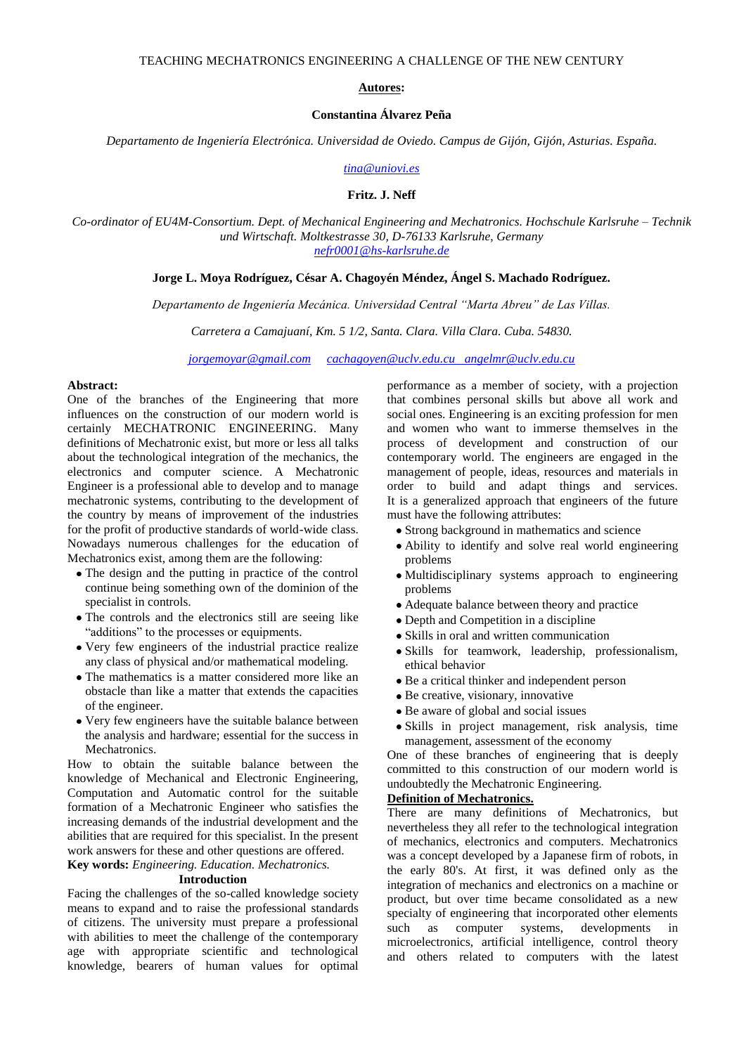#### **Autores:**

#### **Constantina Álvarez Peña**

*Departamento de Ingeniería Electrónica. Universidad de Oviedo. Campus de Gijón, Gijón, Asturias. España.*

*[tina@uniovi.es](mailto:tina@uniovi.es)*

**Fritz. J. Neff**

*Co-ordinator of EU4M-Consortium. Dept. of Mechanical Engineering and Mechatronics. Hochschule Karlsruhe – Technik und Wirtschaft. Moltkestrasse 30, D-76133 Karlsruhe, Germany [nefr0001@hs-karlsruhe.de](mailto:nefr0001@hs-karlsruhe.de)*

#### **Jorge L. Moya Rodríguez, César A. Chagoyén Méndez, Ángel S. Machado Rodríguez.**

*Departamento de Ingeniería Mecánica. Universidad Central "Marta Abreu" de Las Villas.*

*Carretera a Camajuaní, Km. 5 1/2, Santa. Clara. Villa Clara. Cuba. 54830.*

*[jorgemoyar@gmail.com](mailto:jorgemoyar@gmail.com) [cachagoyen@uclv.edu.cu](mailto:cachagoyen@uclv.edu.cu) angelmr@uclv.edu.cu*

#### **Abstract:**

One of the branches of the Engineering that more influences on the construction of our modern world is certainly MECHATRONIC ENGINEERING. Many definitions of Mechatronic exist, but more or less all talks about the technological integration of the mechanics, the electronics and computer science. A Mechatronic Engineer is a professional able to develop and to manage mechatronic systems, contributing to the development of the country by means of improvement of the industries for the profit of productive standards of world-wide class. Nowadays numerous challenges for the education of Mechatronics exist, among them are the following:

- The design and the putting in practice of the control continue being something own of the dominion of the specialist in controls.
- The controls and the electronics still are seeing like "additions" to the processes or equipments.
- Very few engineers of the industrial practice realize any class of physical and/or mathematical modeling.
- The mathematics is a matter considered more like an obstacle than like a matter that extends the capacities of the engineer.
- Very few engineers have the suitable balance between the analysis and hardware; essential for the success in **Mechatronics**

How to obtain the suitable balance between the knowledge of Mechanical and Electronic Engineering, Computation and Automatic control for the suitable formation of a Mechatronic Engineer who satisfies the increasing demands of the industrial development and the abilities that are required for this specialist. In the present work answers for these and other questions are offered.

**Key words:** *Engineering. Education. Mechatronics.*

#### **Introduction**

Facing the challenges of the so-called knowledge society means to expand and to raise the professional standards of citizens. The university must prepare a professional with abilities to meet the challenge of the contemporary age with appropriate scientific and technological knowledge, bearers of human values for optimal

performance as a member of society, with a projection that combines personal skills but above all work and social ones. Engineering is an exciting profession for men and women who want to immerse themselves in the process of development and construction of our contemporary world. The engineers are engaged in the management of people, ideas, resources and materials in order to build and adapt things and services. It is a generalized approach that engineers of the future must have the following attributes:

- Strong background in mathematics and science
- Ability to identify and solve real world engineering problems
- Multidisciplinary systems approach to engineering problems
- Adequate balance between theory and practice
- Depth and Competition in a discipline
- Skills in oral and written communication
- Skills for teamwork, leadership, professionalism, ethical behavior
- Be a critical thinker and independent person
- Be creative, visionary, innovative
- Be aware of global and social issues
- Skills in project management, risk analysis, time management, assessment of the economy

One of these branches of engineering that is deeply committed to this construction of our modern world is undoubtedly the Mechatronic Engineering.

#### **Definition of Mechatronics.**

There are many definitions of Mechatronics, but nevertheless they all refer to the technological integration of mechanics, electronics and computers. Mechatronics was a concept developed by a Japanese firm of robots, in the early 80's. At first, it was defined only as the integration of mechanics and electronics on a machine or product, but over time became consolidated as a new specialty of engineering that incorporated other elements such as computer systems, developments in microelectronics, artificial intelligence, control theory and others related to computers with the latest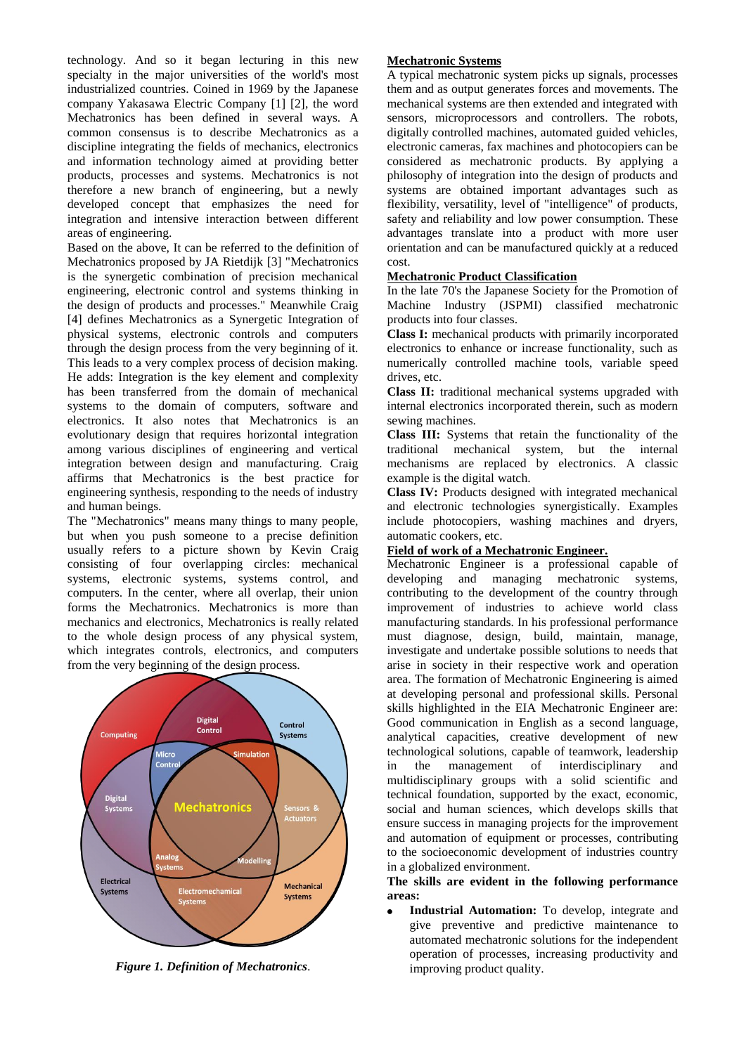technology. And so it began lecturing in this new specialty in the major universities of the world's most industrialized countries. Coined in 1969 by the Japanese company Yakasawa Electric Company [1] [2], the word Mechatronics has been defined in several ways. A common consensus is to describe Mechatronics as a discipline integrating the fields of mechanics, electronics and information technology aimed at providing better products, processes and systems. Mechatronics is not therefore a new branch of engineering, but a newly developed concept that emphasizes the need for integration and intensive interaction between different areas of engineering.

Based on the above, It can be referred to the definition of Mechatronics proposed by JA Rietdijk [3] "Mechatronics is the synergetic combination of precision mechanical engineering, electronic control and systems thinking in the design of products and processes." Meanwhile Craig [4] defines Mechatronics as a Synergetic Integration of physical systems, electronic controls and computers through the design process from the very beginning of it. This leads to a very complex process of decision making. He adds: Integration is the key element and complexity has been transferred from the domain of mechanical systems to the domain of computers, software and electronics. It also notes that Mechatronics is an evolutionary design that requires horizontal integration among various disciplines of engineering and vertical integration between design and manufacturing. Craig affirms that Mechatronics is the best practice for engineering synthesis, responding to the needs of industry and human beings.

The "Mechatronics" means many things to many people, but when you push someone to a precise definition usually refers to a picture shown by Kevin Craig consisting of four overlapping circles: mechanical systems, electronic systems, systems control, and computers. In the center, where all overlap, their union forms the Mechatronics. Mechatronics is more than mechanics and electronics, Mechatronics is really related to the whole design process of any physical system, which integrates controls, electronics, and computers from the very beginning of the design process.



*Figure 1. Definition of Mechatronics*.

## **Mechatronic Systems**

A typical mechatronic system picks up signals, processes them and as output generates forces and movements. The mechanical systems are then extended and integrated with sensors, microprocessors and controllers. The robots, digitally controlled machines, automated guided vehicles, electronic cameras, fax machines and photocopiers can be considered as mechatronic products. By applying a philosophy of integration into the design of products and systems are obtained important advantages such as flexibility, versatility, level of "intelligence" of products, safety and reliability and low power consumption. These advantages translate into a product with more user orientation and can be manufactured quickly at a reduced cost.

## **Mechatronic Product Classification**

In the late 70's the Japanese Society for the Promotion of Machine Industry (JSPMI) classified mechatronic products into four classes.

**Class I:** mechanical products with primarily incorporated electronics to enhance or increase functionality, such as numerically controlled machine tools, variable speed drives, etc.

**Class II:** traditional mechanical systems upgraded with internal electronics incorporated therein, such as modern sewing machines.

**Class III:** Systems that retain the functionality of the traditional mechanical system, but the internal mechanisms are replaced by electronics. A classic example is the digital watch.

**Class IV:** Products designed with integrated mechanical and electronic technologies synergistically. Examples include photocopiers, washing machines and dryers, automatic cookers, etc.

# **Field of work of a Mechatronic Engineer.**

Mechatronic Engineer is a professional capable of developing and managing mechatronic systems, contributing to the development of the country through improvement of industries to achieve world class manufacturing standards. In his professional performance must diagnose, design, build, maintain, manage, investigate and undertake possible solutions to needs that arise in society in their respective work and operation area. The formation of Mechatronic Engineering is aimed at developing personal and professional skills. Personal skills highlighted in the EIA Mechatronic Engineer are: Good communication in English as a second language, analytical capacities, creative development of new technological solutions, capable of teamwork, leadership in the management of interdisciplinary and multidisciplinary groups with a solid scientific and technical foundation, supported by the exact, economic, social and human sciences, which develops skills that ensure success in managing projects for the improvement and automation of equipment or processes, contributing to the socioeconomic development of industries country in a globalized environment.

#### **The skills are evident in the following performance areas:**

**Industrial Automation:** To develop, integrate and give preventive and predictive maintenance to automated mechatronic solutions for the independent operation of processes, increasing productivity and improving product quality.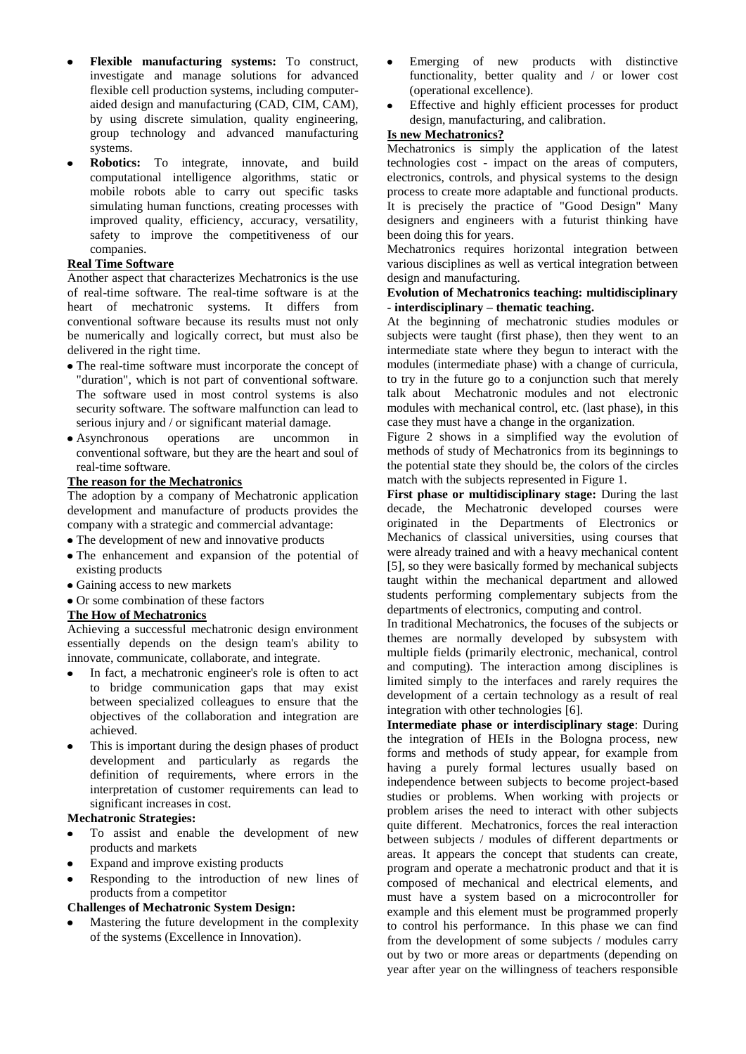- **Flexible manufacturing systems:** To construct, investigate and manage solutions for advanced flexible cell production systems, including computeraided design and manufacturing (CAD, CIM, CAM), by using discrete simulation, quality engineering, group technology and advanced manufacturing systems.
- **Robotics:** To integrate, innovate, and build computational intelligence algorithms, static or mobile robots able to carry out specific tasks simulating human functions, creating processes with improved quality, efficiency, accuracy, versatility, safety to improve the competitiveness of our companies.

## **Real Time Software**

Another aspect that characterizes Mechatronics is the use of real-time software. The real-time software is at the heart of mechatronic systems. It differs from conventional software because its results must not only be numerically and logically correct, but must also be delivered in the right time.

- The real-time software must incorporate the concept of "duration", which is not part of conventional software. The software used in most control systems is also security software. The software malfunction can lead to serious injury and / or significant material damage.
- Asynchronous operations are uncommon in conventional software, but they are the heart and soul of real-time software.

## **The reason for the Mechatronics**

The adoption by a company of Mechatronic application development and manufacture of products provides the company with a strategic and commercial advantage:

- The development of new and innovative products
- The enhancement and expansion of the potential of existing products
- Gaining access to new markets
- Or some combination of these factors

# **The How of Mechatronics**

Achieving a successful mechatronic design environment essentially depends on the design team's ability to innovate, communicate, collaborate, and integrate.

- In fact, a mechatronic engineer's role is often to act to bridge communication gaps that may exist between specialized colleagues to ensure that the objectives of the collaboration and integration are achieved.
- This is important during the design phases of product development and particularly as regards the definition of requirements, where errors in the interpretation of customer requirements can lead to significant increases in cost.

## **Mechatronic Strategies:**

- To assist and enable the development of new products and markets
- Expand and improve existing products
- Responding to the introduction of new lines of products from a competitor

## **Challenges of Mechatronic System Design:**

Mastering the future development in the complexity of the systems (Excellence in Innovation).

- Emerging of new products with distinctive functionality, better quality and / or lower cost (operational excellence).
- Effective and highly efficient processes for product design, manufacturing, and calibration.

# **Is new Mechatronics?**

Mechatronics is simply the application of the latest technologies cost - impact on the areas of computers, electronics, controls, and physical systems to the design process to create more adaptable and functional products. It is precisely the practice of "Good Design" Many designers and engineers with a futurist thinking have been doing this for years.

Mechatronics requires horizontal integration between various disciplines as well as vertical integration between design and manufacturing.

## **Evolution of Mechatronics teaching: multidisciplinary - interdisciplinary – thematic teaching.**

At the beginning of mechatronic studies modules or subjects were taught (first phase), then they went to an intermediate state where they begun to interact with the modules (intermediate phase) with a change of curricula, to try in the future go to a conjunction such that merely talk about Mechatronic modules and not electronic modules with mechanical control, etc. (last phase), in this case they must have a change in the organization.

Figure 2 shows in a simplified way the evolution of methods of study of Mechatronics from its beginnings to the potential state they should be, the colors of the circles match with the subjects represented in Figure 1.

**First phase or multidisciplinary stage:** During the last decade, the Mechatronic developed courses were originated in the Departments of Electronics or Mechanics of classical universities, using courses that were already trained and with a heavy mechanical content [5], so they were basically formed by mechanical subjects taught within the mechanical department and allowed students performing complementary subjects from the departments of electronics, computing and control.

In traditional Mechatronics, the focuses of the subjects or themes are normally developed by subsystem with multiple fields (primarily electronic, mechanical, control and computing). The interaction among disciplines is limited simply to the interfaces and rarely requires the development of a certain technology as a result of real integration with other technologies [6].

**Intermediate phase or interdisciplinary stage**: During the integration of HEIs in the Bologna process, new forms and methods of study appear, for example from having a purely formal lectures usually based on independence between subjects to become project-based studies or problems. When working with projects or problem arises the need to interact with other subjects quite different. Mechatronics, forces the real interaction between subjects / modules of different departments or areas. It appears the concept that students can create, program and operate a mechatronic product and that it is composed of mechanical and electrical elements, and must have a system based on a microcontroller for example and this element must be programmed properly to control his performance. In this phase we can find from the development of some subjects / modules carry out by two or more areas or departments (depending on year after year on the willingness of teachers responsible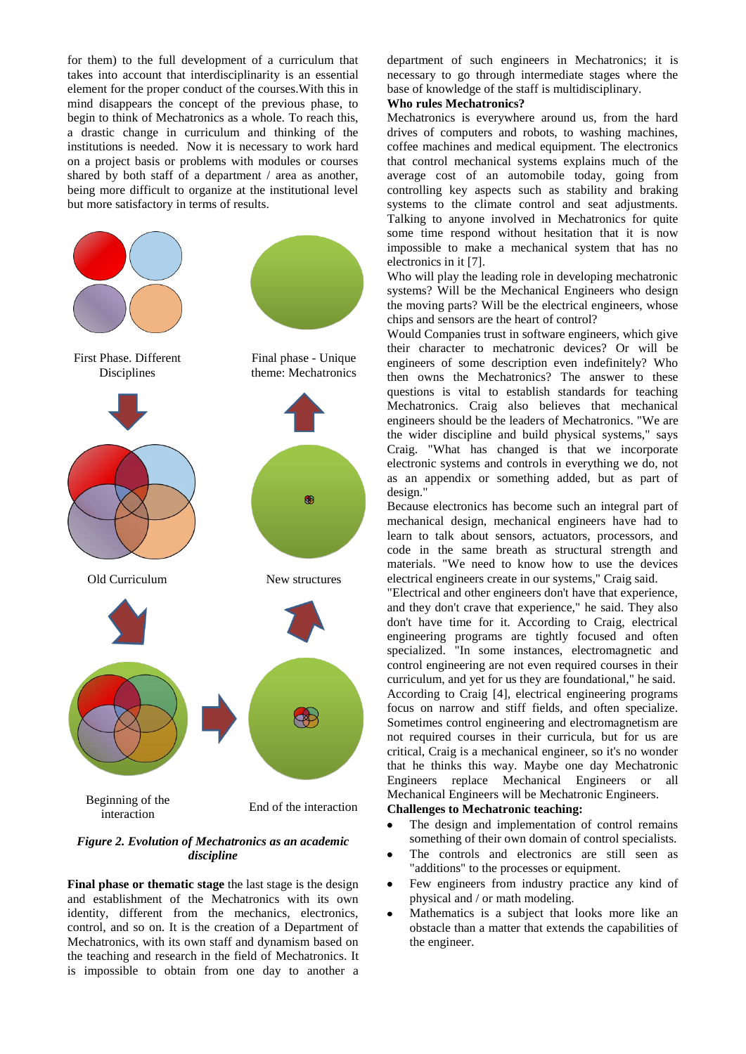for them) to the full development of a curriculum that takes into account that interdisciplinarity is an essential element for the proper conduct of the courses.With this in mind disappears the concept of the previous phase, to begin to think of Mechatronics as a whole. To reach this, a drastic change in curriculum and thinking of the institutions is needed. Now it is necessary to work hard on a project basis or problems with modules or courses shared by both staff of a department / area as another, being more difficult to organize at the institutional level but more satisfactory in terms of results.



## *Figure 2. Evolution of Mechatronics as an academic discipline*

**Final phase or thematic stage** the last stage is the design and establishment of the Mechatronics with its own identity, different from the mechanics, electronics, control, and so on. It is the creation of a Department of Mechatronics, with its own staff and dynamism based on the teaching and research in the field of Mechatronics. It is impossible to obtain from one day to another a department of such engineers in Mechatronics; it is necessary to go through intermediate stages where the base of knowledge of the staff is multidisciplinary.

## **Who rules Mechatronics?**

Mechatronics is everywhere around us, from the hard drives of computers and robots, to washing machines, coffee machines and medical equipment. The electronics that control mechanical systems explains much of the average cost of an automobile today, going from controlling key aspects such as stability and braking systems to the climate control and seat adjustments. Talking to anyone involved in Mechatronics for quite some time respond without hesitation that it is now impossible to make a mechanical system that has no electronics in it [7].

Who will play the leading role in developing mechatronic systems? Will be the Mechanical Engineers who design the moving parts? Will be the electrical engineers, whose chips and sensors are the heart of control?

Would Companies trust in software engineers, which give their character to mechatronic devices? Or will be engineers of some description even indefinitely? Who then owns the Mechatronics? The answer to these questions is vital to establish standards for teaching Mechatronics. Craig also believes that mechanical engineers should be the leaders of Mechatronics. "We are the wider discipline and build physical systems," says Craig. "What has changed is that we incorporate electronic systems and controls in everything we do, not as an appendix or something added, but as part of design."

Because electronics has become such an integral part of mechanical design, mechanical engineers have had to learn to talk about sensors, actuators, processors, and code in the same breath as structural strength and materials. "We need to know how to use the devices electrical engineers create in our systems," Craig said.

"Electrical and other engineers don't have that experience, and they don't crave that experience," he said. They also don't have time for it. According to Craig, electrical engineering programs are tightly focused and often specialized. "In some instances, electromagnetic and control engineering are not even required courses in their curriculum, and yet for us they are foundational," he said. According to Craig [4], electrical engineering programs focus on narrow and stiff fields, and often specialize. Sometimes control engineering and electromagnetism are not required courses in their curricula, but for us are critical, Craig is a mechanical engineer, so it's no wonder that he thinks this way. Maybe one day Mechatronic Engineers replace Mechanical Engineers or all Mechanical Engineers will be Mechatronic Engineers.

# **Challenges to Mechatronic teaching:**

- The design and implementation of control remains  $\bullet$ something of their own domain of control specialists.
- The controls and electronics are still seen as "additions" to the processes or equipment.
- Few engineers from industry practice any kind of  $\bullet$ physical and / or math modeling.
- Mathematics is a subject that looks more like an obstacle than a matter that extends the capabilities of the engineer.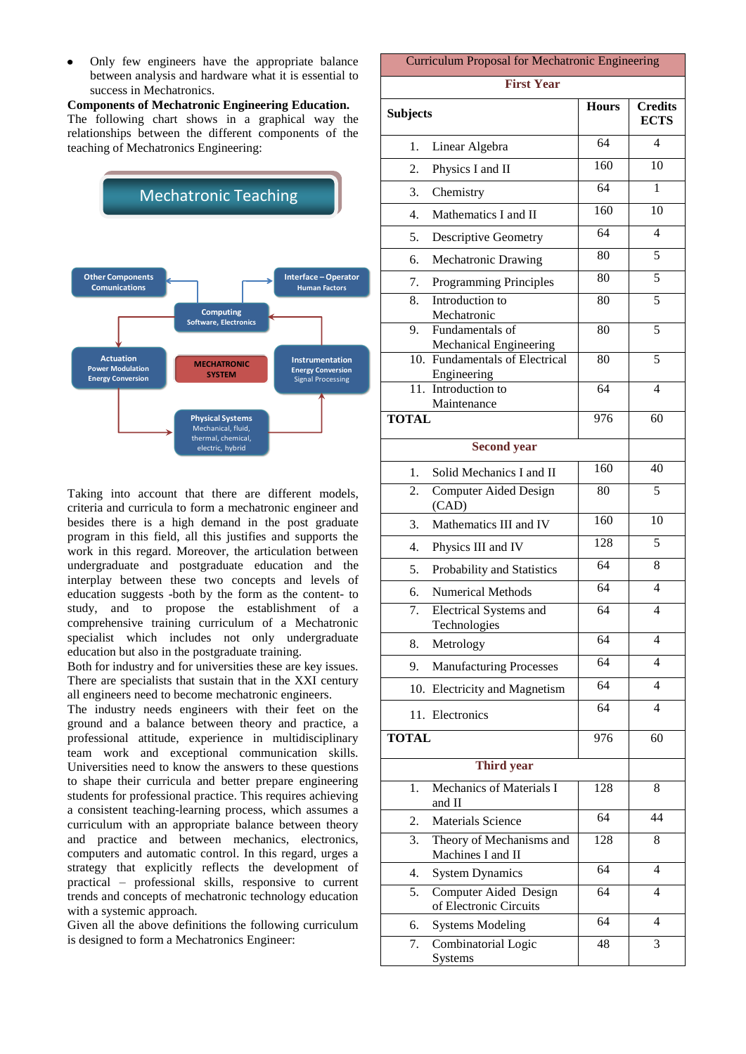Only few engineers have the appropriate balance between analysis and hardware what it is essential to success in Mechatronics.

**Components of Mechatronic Engineering Education.** The following chart shows in a graphical way the relationships between the different components of the teaching of Mechatronics Engineering:



Taking into account that there are different models, criteria and curricula to form a mechatronic engineer and besides there is a high demand in the post graduate program in this field, all this justifies and supports the work in this regard. Moreover, the articulation between undergraduate and postgraduate education and the interplay between these two concepts and levels of education suggests -both by the form as the content- to study, and to propose the establishment of a comprehensive training curriculum of a Mechatronic specialist which includes not only undergraduate education but also in the postgraduate training.

Both for industry and for universities these are key issues. There are specialists that sustain that in the XXI century all engineers need to become mechatronic engineers.

The industry needs engineers with their feet on the ground and a balance between theory and practice, a professional attitude, experience in multidisciplinary team work and exceptional communication skills. Universities need to know the answers to these questions to shape their curricula and better prepare engineering students for professional practice. This requires achieving a consistent teaching-learning process, which assumes a curriculum with an appropriate balance between theory and practice and between mechanics, electronics, computers and automatic control. In this regard, urges a strategy that explicitly reflects the development of practical – professional skills, responsive to current trends and concepts of mechatronic technology education with a systemic approach.

Given all the above definitions the following curriculum is designed to form a Mechatronics Engineer:

# Curriculum Proposal for Mechatronic Engineering

# **First Year**

| <b>FIFSU Year</b> |                                                 |              |                               |  |
|-------------------|-------------------------------------------------|--------------|-------------------------------|--|
| <b>Subjects</b>   |                                                 | <b>Hours</b> | <b>Credits</b><br><b>ECTS</b> |  |
| 1.                | Linear Algebra                                  | 64           | 4                             |  |
| 2.                | Physics I and II                                | 160          | 10                            |  |
| 3.                | Chemistry                                       | 64           | 1                             |  |
| 4.                | Mathematics I and II                            | 160          | 10                            |  |
| 5.                | <b>Descriptive Geometry</b>                     | 64           | 4                             |  |
| 6.                | Mechatronic Drawing                             | 80           | 5                             |  |
| 7.                | Programming Principles                          | 80           | 5                             |  |
| 8.                | Introduction to<br>Mechatronic                  | 80           | 5                             |  |
| 9.                | Fundamentals of<br>Mechanical Engineering       | 80           | $\overline{5}$                |  |
|                   | 10. Fundamentals of Electrical<br>Engineering   | 80           | $\overline{5}$                |  |
| 11.               | Introduction to<br>Maintenance                  | 64           | $\overline{4}$                |  |
| <b>TOTAL</b>      |                                                 | 976          | 60                            |  |
|                   | <b>Second year</b>                              |              |                               |  |
| 1.                | Solid Mechanics I and II                        | 160          | 40                            |  |
| 2.                | <b>Computer Aided Design</b><br>(CAD)           | 80           | 5                             |  |
| 3.                | Mathematics III and IV                          | 160          | 10                            |  |
| 4.                | Physics III and IV                              | 128          | 5                             |  |
| 5.                | Probability and Statistics                      | 64           | 8                             |  |
| 6.                | <b>Numerical Methods</b>                        | 64           | $\overline{4}$                |  |
| 7.                | <b>Electrical Systems and</b><br>Technologies   | 64           | 4                             |  |
| 8.                | Metrology                                       | 64           | $\overline{4}$                |  |
| 9.                | <b>Manufacturing Processes</b>                  | 64           | $\overline{4}$                |  |
| 10.               | <b>Electricity and Magnetism</b>                | 64           | $\overline{4}$                |  |
|                   | 11. Electronics                                 | 64           | $\overline{4}$                |  |
| <b>TOTAL</b>      |                                                 | 976          | 60                            |  |
|                   | <b>Third year</b>                               |              |                               |  |
| 1.                | <b>Mechanics of Materials I</b><br>and II       | 128          | 8                             |  |
| 2.                | Materials Science                               | 64           | 44                            |  |
| 3.                | Theory of Mechanisms and<br>Machines I and II   | 128          | 8                             |  |
| 4.                | <b>System Dynamics</b>                          | 64           | $\overline{4}$                |  |
| 5.                | Computer Aided Design<br>of Electronic Circuits | 64           | $\overline{4}$                |  |
| 6.                | <b>Systems Modeling</b>                         | 64           | $\overline{4}$                |  |
| 7.                | Combinatorial Logic<br>Systems                  | 48           | $\overline{3}$                |  |